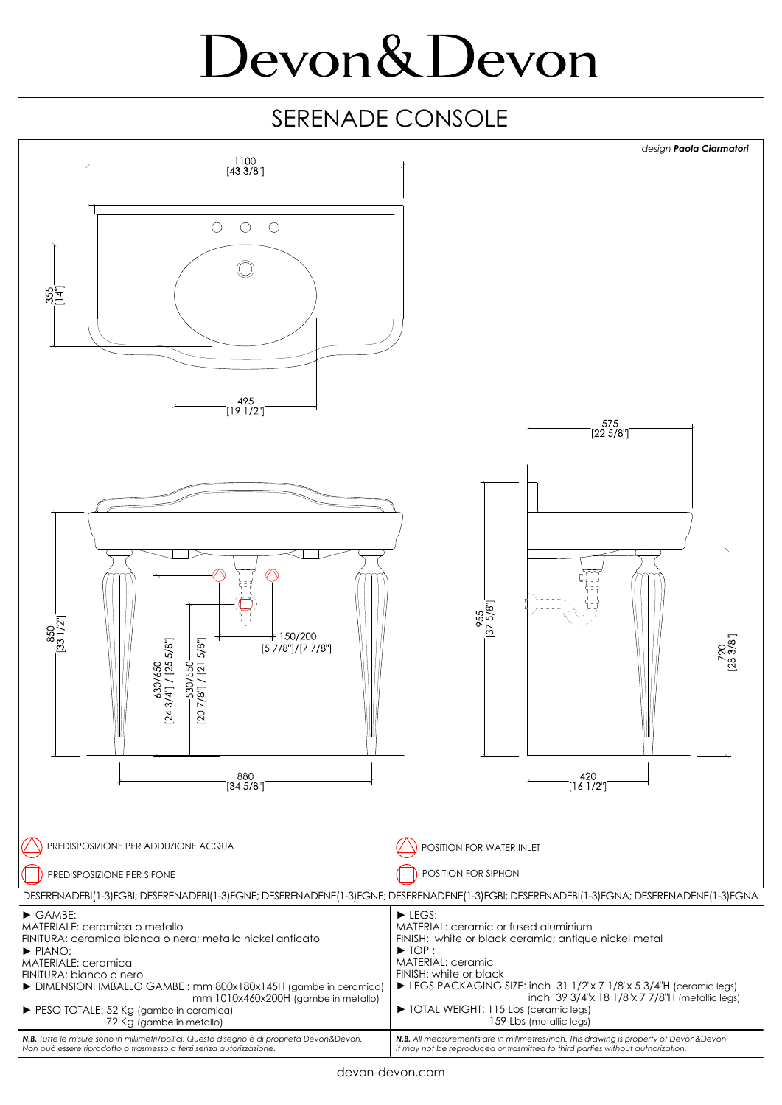## Devon&Devon

## SERENADE CONSOLE